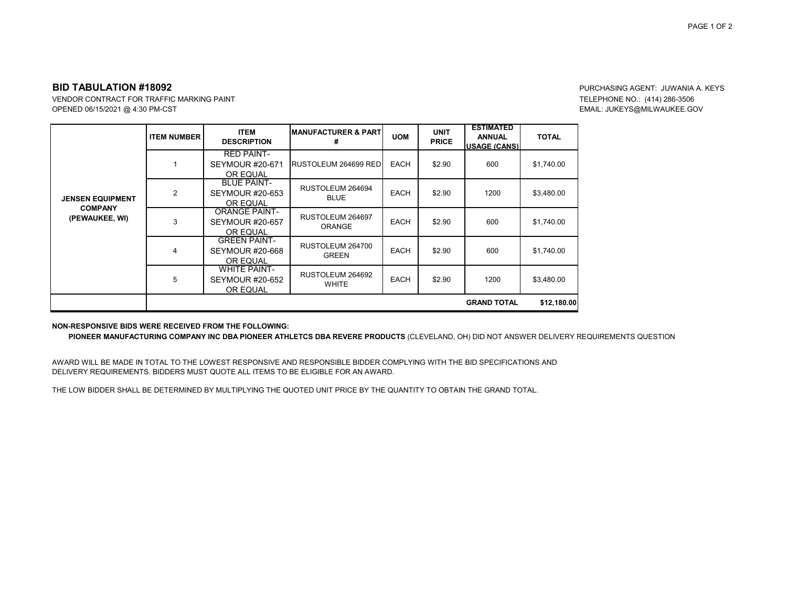VENDOR CONTRACT FOR TRAFFIC MARKING PAINT TELEPHONE NO.: (414) 286-3506 OPENED 06/15/2021 @ 4:30 PM-CST

**BID TABULATION #18092** PURCHASING AGENT: JUWANIA A. KEYS<br>
VENDOR CONTRACT FOR TRAFFIC MARKING PAINT

| <b>JENSEN EQUIPMENT</b><br><b>COMPANY</b><br>(PEWAUKEE, WI) | <b>ITEM NUMBER</b> | <b>ITEM</b><br><b>DESCRIPTION</b>                          | <b>IMANUFACTURER &amp; PARTI</b><br># | <b>UOM</b>  | <b>UNIT</b><br><b>PRICE</b> | <b>ESTIMATED</b><br><b>ANNUAL</b><br><b>USAGE (CANS)</b> | TOTAL       |
|-------------------------------------------------------------|--------------------|------------------------------------------------------------|---------------------------------------|-------------|-----------------------------|----------------------------------------------------------|-------------|
|                                                             |                    | <b>RED PAINT-</b><br>SEYMOUR #20-671<br>OR EQUAL           | RUSTOLEUM 264699 RED                  | <b>EACH</b> | \$2.90                      | 600                                                      | \$1,740.00  |
|                                                             | $\overline{2}$     | <b>BLUE PAINT-</b><br><b>SEYMOUR #20-653</b><br>OR EQUAL   | RUSTOLEUM 264694<br><b>BLUE</b>       | <b>EACH</b> | \$2.90                      | 1200                                                     | \$3,480.00  |
|                                                             | 3                  | <b>ORANGE PAINT-</b><br><b>SEYMOUR #20-657</b><br>OR EQUAL | RUSTOLEUM 264697<br><b>ORANGE</b>     | <b>EACH</b> | \$2.90                      | 600                                                      | \$1,740.00  |
|                                                             | 4                  | <b>GREEN PAINT-</b><br>SEYMOUR #20-668<br>OR EQUAL         | RUSTOLEUM 264700<br><b>GREEN</b>      | <b>EACH</b> | \$2.90                      | 600                                                      | \$1,740.00  |
|                                                             | 5                  | <b>WHITE PAINT-</b><br>SEYMOUR #20-652<br>OR EQUAL         | RUSTOLEUM 264692<br><b>WHITE</b>      | <b>EACH</b> | \$2.90                      | 1200                                                     | \$3,480.00  |
|                                                             |                    |                                                            |                                       |             |                             | <b>GRAND TOTAL</b>                                       | \$12,180.00 |

**NON-RESPONSIVE BIDS WERE RECEIVED FROM THE FOLLOWING:**

**PIONEER MANUFACTURING COMPANY INC DBA PIONEER ATHLETCS DBA REVERE PRODUCTS** (CLEVELAND, OH) DID NOT ANSWER DELIVERY REQUIREMENTS QUESTION

AWARD WILL BE MADE IN TOTAL TO THE LOWEST RESPONSIVE AND RESPONSIBLE BIDDER COMPLYING WITH THE BID SPECIFICATIONS AND DELIVERY REQUIREMENTS. BIDDERS MUST QUOTE ALL ITEMS TO BE ELIGIBLE FOR AN AWARD.

THE LOW BIDDER SHALL BE DETERMINED BY MULTIPLYING THE QUOTED UNIT PRICE BY THE QUANTITY TO OBTAIN THE GRAND TOTAL.